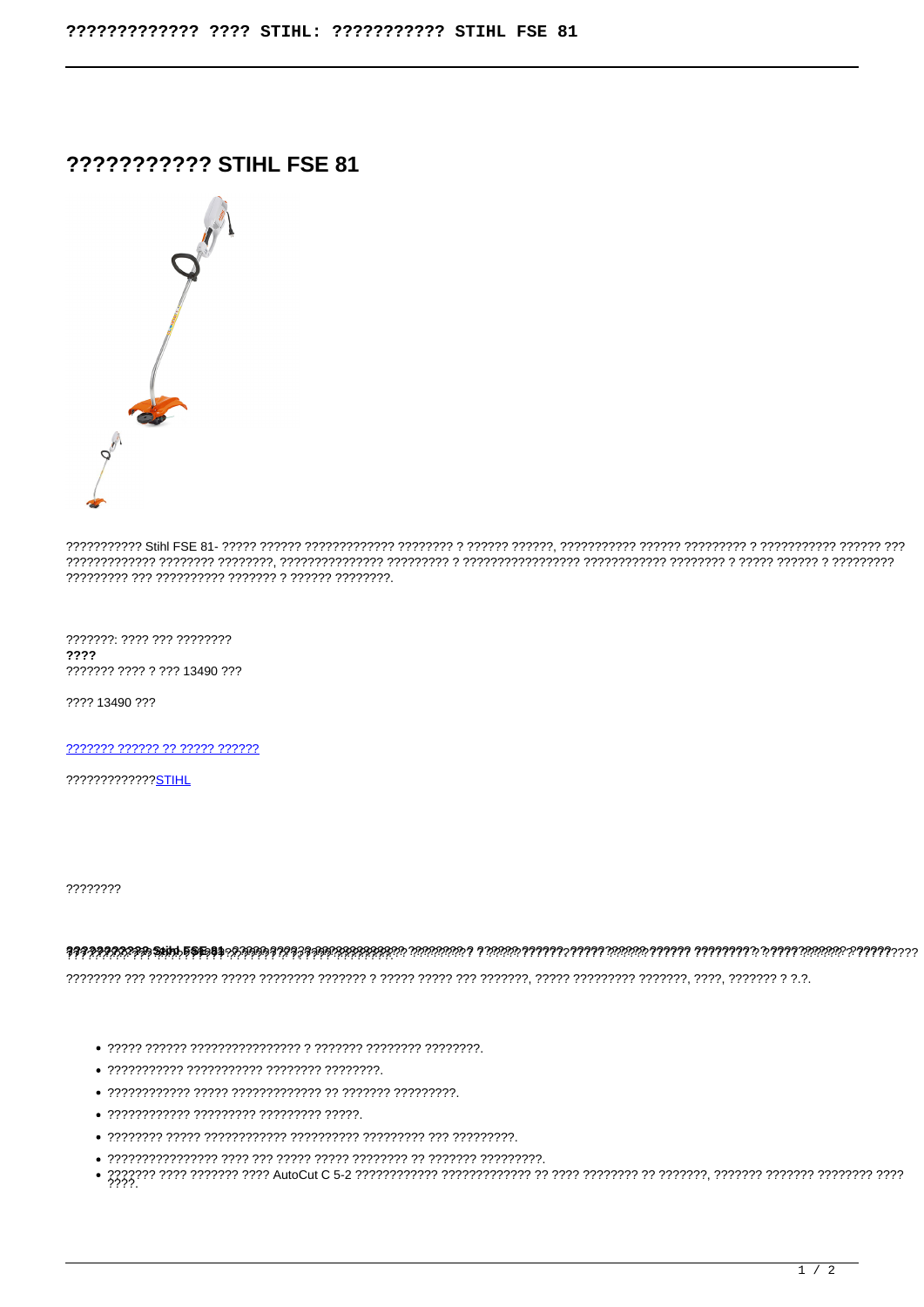## ??????????? STIHL FSE 81



???????: ???? ??? ????????  $2222$ ??????? ???? ? ??? 13490 ???

???? 13490 ???

2222222 222222 22 22222 222222

?????????????STIHL

????????

- 
- 
- 
- ???????????? ????????? ????????? ?????.
- 
- 
-